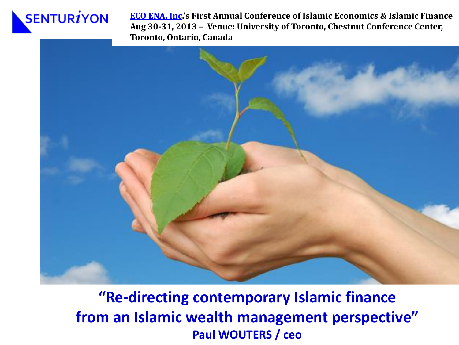## $SENTUR<sub>i</sub>YON$

**[ECO ENA, Inc](http://www.eco-ena.ca/).'s First Annual Conference of Islamic Economics & Islamic Finance Aug 30-31, 2013 – Venue: University of Toronto, Chestnut Conference Center, Toronto, Ontario, Canada**



**"Re-directing contemporary Islamic finance from an Islamic wealth management perspective" Paul WOUTERS / ceo**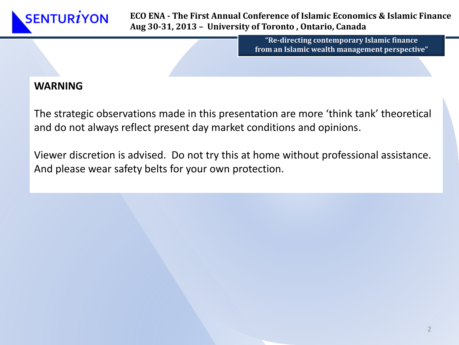**ECO ENA - The First Annual Conference of Islamic Economics & Islamic Finance Aug 30-31, 2013 – University of Toronto , Ontario, Canada**

> **"Re-directing contemporary Islamic finance from an Islamic wealth management perspective"**

#### **WARNING**

The strategic observations made in this presentation are more 'think tank' theoretical and do not always reflect present day market conditions and opinions.

Viewer discretion is advised. Do not try this at home without professional assistance. And please wear safety belts for your own protection.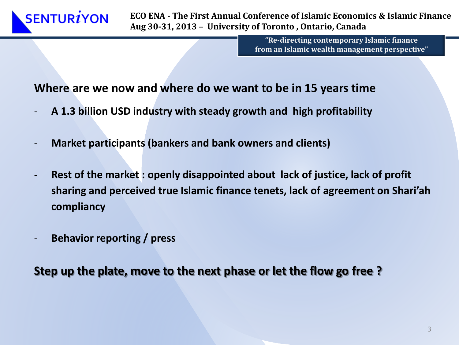

**"Re-directing contemporary Islamic finance from an Islamic wealth management perspective"**

#### **Where are we now and where do we want to be in 15 years time**

- **A 1.3 billion USD industry with steady growth and high profitability**
- **Market participants (bankers and bank owners and clients)**
- **Rest of the market : openly disappointed about lack of justice, lack of profit sharing and perceived true Islamic finance tenets, lack of agreement on Shari'ah compliancy**
- **Behavior reporting / press**

**Step up the plate, move to the next phase or let the flow go free ?**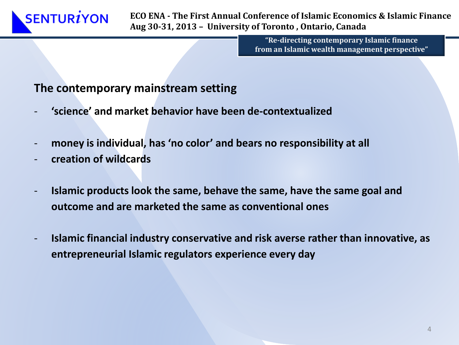**"Re-directing contemporary Islamic finance from an Islamic wealth management perspective"**

#### **The contemporary mainstream setting**

- **'science' and market behavior have been de-contextualized**
- money is individual, has 'no color' and bears no responsibility at all
- **creation of wildcards**

**SENTURIYON** 

- **Islamic products look the same, behave the same, have the same goal and outcome and are marketed the same as conventional ones**
- **Islamic financial industry conservative and risk averse rather than innovative, as entrepreneurial Islamic regulators experience every day**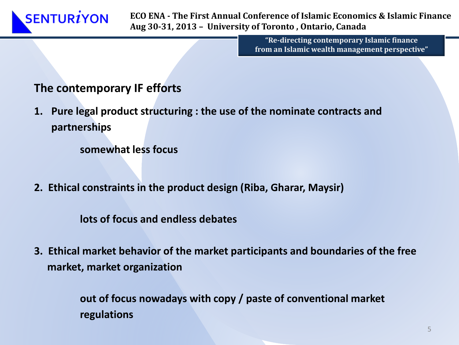**ECO ENA - The First Annual Conference of Islamic Economics & Islamic Finance Aug 30-31, 2013 – University of Toronto , Ontario, Canada**

> **"Re-directing contemporary Islamic finance from an Islamic wealth management perspective"**

#### **The contemporary IF efforts**

**1. Pure legal product structuring : the use of the nominate contracts and partnerships** 

**somewhat less focus** 

**2. Ethical constraints in the product design (Riba, Gharar, Maysir)**

**lots of focus and endless debates**

**3. Ethical market behavior of the market participants and boundaries of the free market, market organization** 

> **out of focus nowadays with copy / paste of conventional market regulations**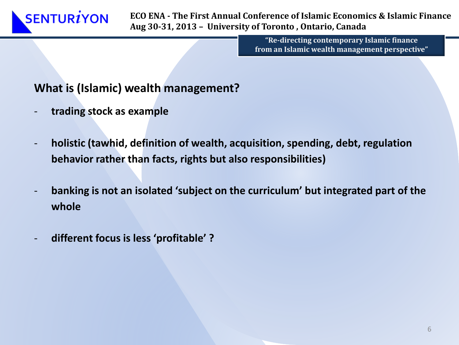**"Re-directing contemporary Islamic finance from an Islamic wealth management perspective"**

#### **What is (Islamic) wealth management?**

- **trading stock as example**
- **holistic (tawhid, definition of wealth, acquisition, spending, debt, regulation behavior rather than facts, rights but also responsibilities)**
- **banking is not an isolated 'subject on the curriculum' but integrated part of the whole**
- **different focus is less 'profitable' ?**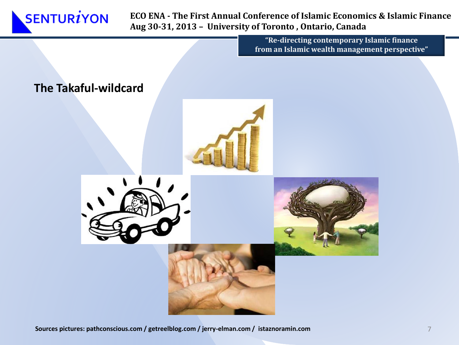

> **"Re-directing contemporary Islamic finance from an Islamic wealth management perspective"**



**Sources pictures: pathconscious.com / getreelblog.com / jerry-elman.com / istaznoramin.com**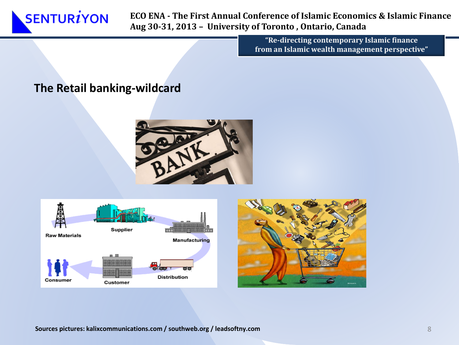

> **"Re-directing contemporary Islamic finance from an Islamic wealth management perspective"**

#### **The Retail banking-wildcard**







**Sources pictures: kalixcommunications.com / southweb.org / leadsoftny.com**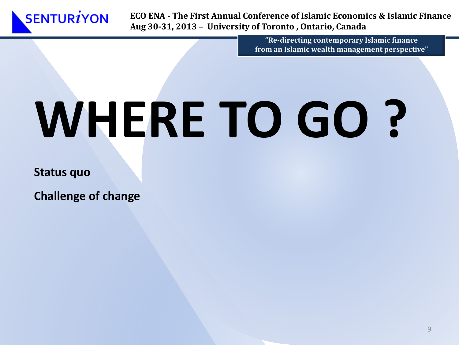

> **"Re-directing contemporary Islamic finance from an Islamic wealth management perspective"**

# **WHERE TO GO ?**

**Status quo**

**Challenge of change**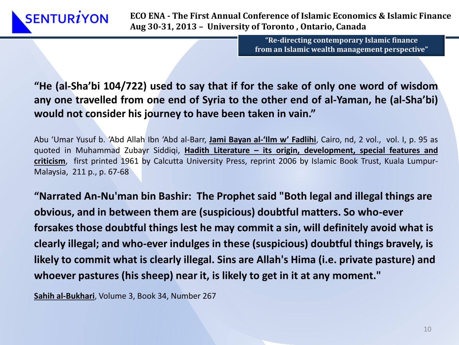**"Re-directing contemporary Islamic finance from an Islamic wealth management perspective"**

**"He (al-Sha'bi 104/722) used to say that if for the sake of only one word of wisdom any one travelled from one end of Syria to the other end of al-Yaman, he (al-Sha'bi) would not consider his journey to have been taken in vain."**

Abu 'Umar Yusuf b. 'Abd Allah Ibn 'Abd al-Barr, **Jami Bayan al-'Ilm w' Fadlihi**, Cairo, nd, 2 vol., vol. I, p. 95 as quoted in Muhammad Zubayr Siddiqi, **Hadith Literature – its origin, development, special features and criticism**, first printed 1961 by Calcutta University Press, reprint 2006 by Islamic Book Trust, Kuala Lumpur-Malaysia, 211 p., p. 67-68

**"Narrated An-Nu'man bin Bashir: The Prophet said "Both legal and illegal things are obvious, and in between them are (suspicious) doubtful matters. So who-ever forsakes those doubtful things lest he may commit a sin, will definitely avoid what is clearly illegal; and who-ever indulges in these (suspicious) doubtful things bravely, is likely to commit what is clearly illegal. Sins are Allah's Hima (i.e. private pasture) and whoever pastures (his sheep) near it, is likely to get in it at any moment."** 

**Sahih al-Bukhari**, Volume 3, Book 34, Number 267